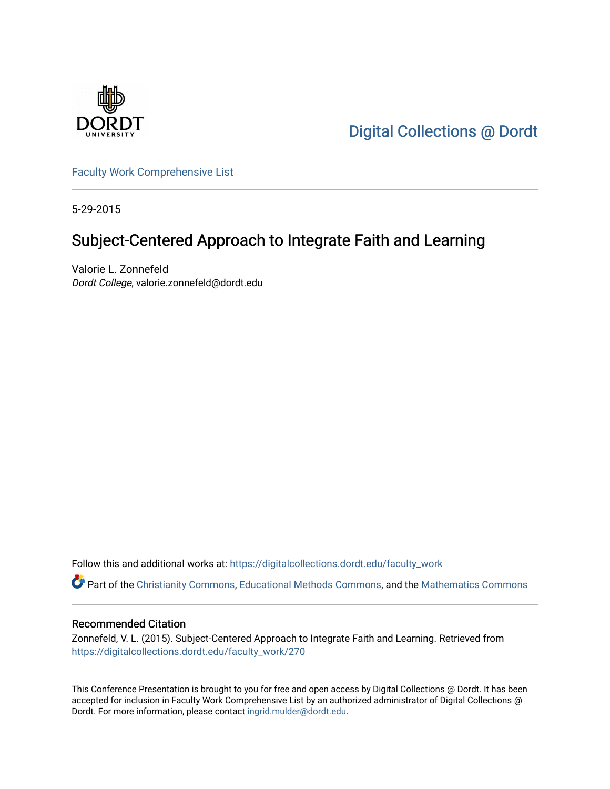

[Digital Collections @ Dordt](https://digitalcollections.dordt.edu/) 

[Faculty Work Comprehensive List](https://digitalcollections.dordt.edu/faculty_work)

5-29-2015

#### Subject-Centered Approach to Integrate Faith and Learning

Valorie L. Zonnefeld Dordt College, valorie.zonnefeld@dordt.edu

Follow this and additional works at: [https://digitalcollections.dordt.edu/faculty\\_work](https://digitalcollections.dordt.edu/faculty_work?utm_source=digitalcollections.dordt.edu%2Ffaculty_work%2F270&utm_medium=PDF&utm_campaign=PDFCoverPages) 

Part of the [Christianity Commons,](http://network.bepress.com/hgg/discipline/1181?utm_source=digitalcollections.dordt.edu%2Ffaculty_work%2F270&utm_medium=PDF&utm_campaign=PDFCoverPages) [Educational Methods Commons,](http://network.bepress.com/hgg/discipline/1227?utm_source=digitalcollections.dordt.edu%2Ffaculty_work%2F270&utm_medium=PDF&utm_campaign=PDFCoverPages) and the [Mathematics Commons](http://network.bepress.com/hgg/discipline/174?utm_source=digitalcollections.dordt.edu%2Ffaculty_work%2F270&utm_medium=PDF&utm_campaign=PDFCoverPages) 

#### Recommended Citation

Zonnefeld, V. L. (2015). Subject-Centered Approach to Integrate Faith and Learning. Retrieved from [https://digitalcollections.dordt.edu/faculty\\_work/270](https://digitalcollections.dordt.edu/faculty_work/270?utm_source=digitalcollections.dordt.edu%2Ffaculty_work%2F270&utm_medium=PDF&utm_campaign=PDFCoverPages) 

This Conference Presentation is brought to you for free and open access by Digital Collections @ Dordt. It has been accepted for inclusion in Faculty Work Comprehensive List by an authorized administrator of Digital Collections @ Dordt. For more information, please contact [ingrid.mulder@dordt.edu.](mailto:ingrid.mulder@dordt.edu)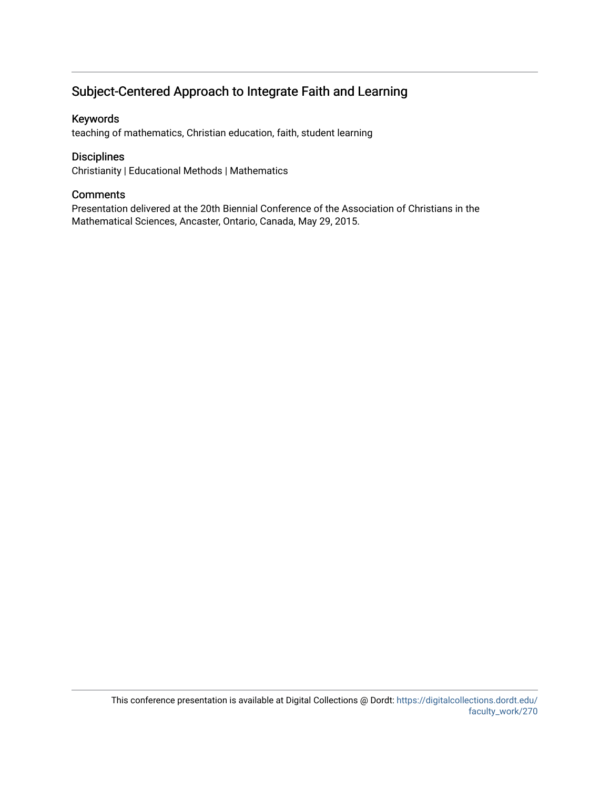#### Subject-Centered Approach to Integrate Faith and Learning

#### Keywords

teaching of mathematics, Christian education, faith, student learning

#### Disciplines

Christianity | Educational Methods | Mathematics

#### **Comments**

Presentation delivered at the 20th Biennial Conference of the Association of Christians in the Mathematical Sciences, Ancaster, Ontario, Canada, May 29, 2015.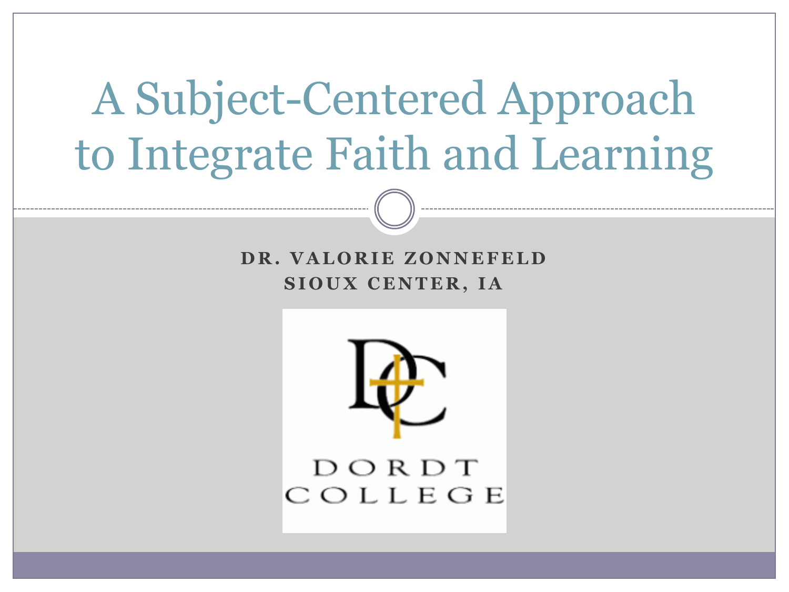# A Subject-Centered Approach to Integrate Faith and Learning

**DR. VALORIE ZONNEFELD SIOUX CENTER, IA** 

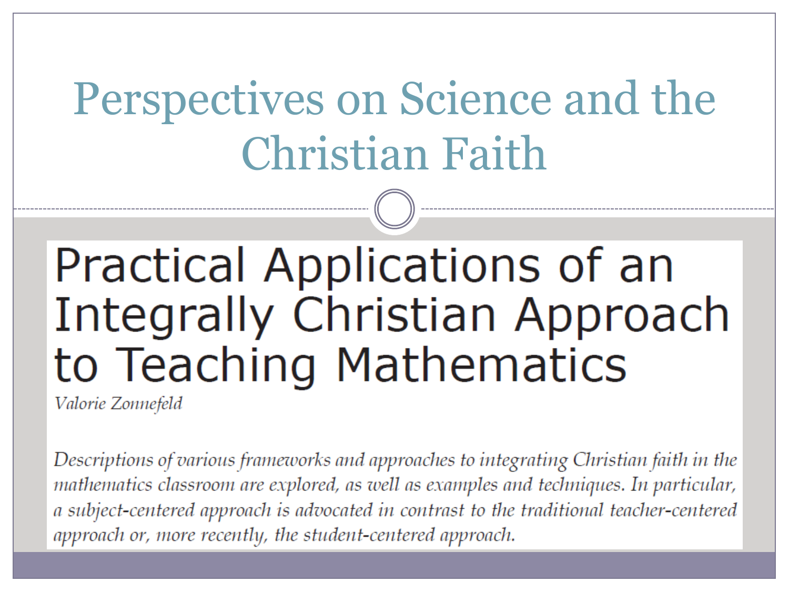# Perspectives on Science and the Christian Faith

## Practical Applications of an **Integrally Christian Approach** to Teaching Mathematics

Valorie Zonnefeld

Descriptions of various frameworks and approaches to integrating Christian faith in the mathematics classroom are explored, as well as examples and techniques. In particular, a subject-centered approach is advocated in contrast to the traditional teacher-centered approach or, more recently, the student-centered approach.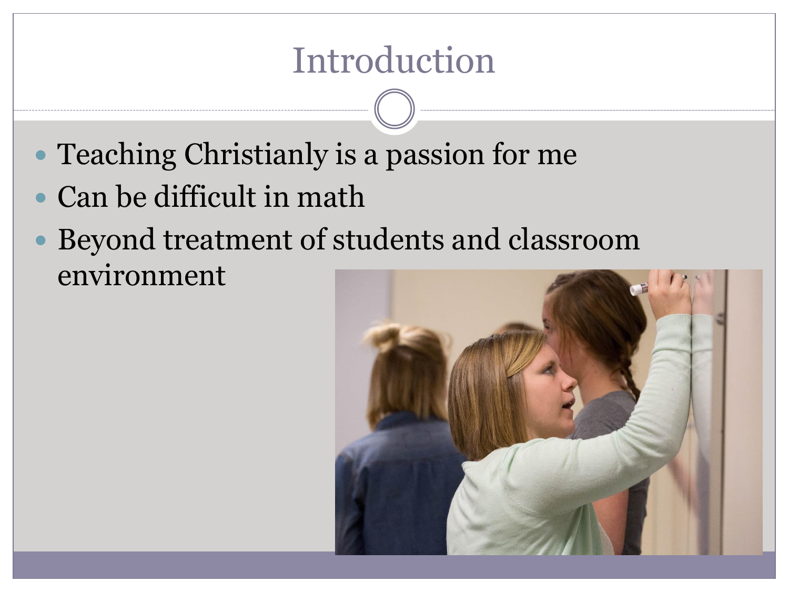#### Introduction

- Teaching Christianly is a passion for me
- Can be difficult in math
- Beyond treatment of students and classroom environment

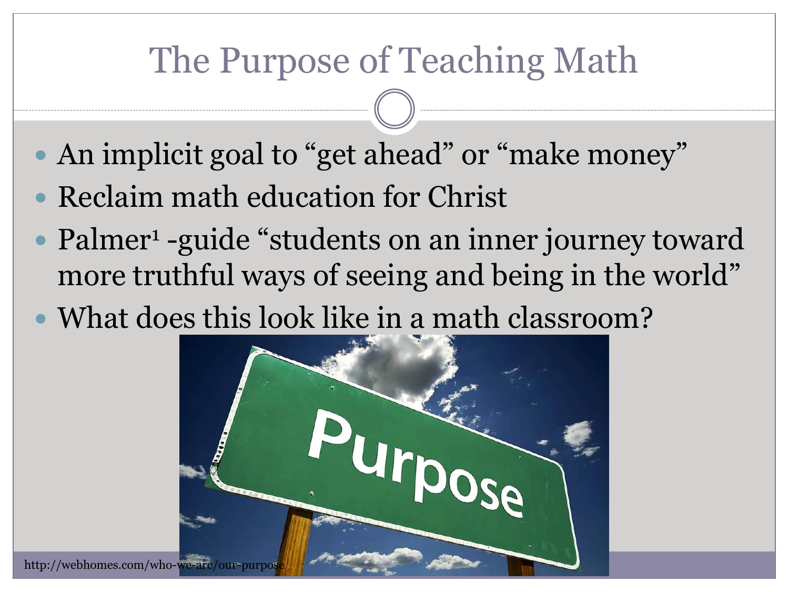#### The Purpose of Teaching Math

- An implicit goal to "get ahead" or "make money"
- Reclaim math education for Christ
- Palmer<sup>1</sup> -guide "students on an inner journey toward more truthful ways of seeing and being in the world"
- What does this look like in a math classroom?

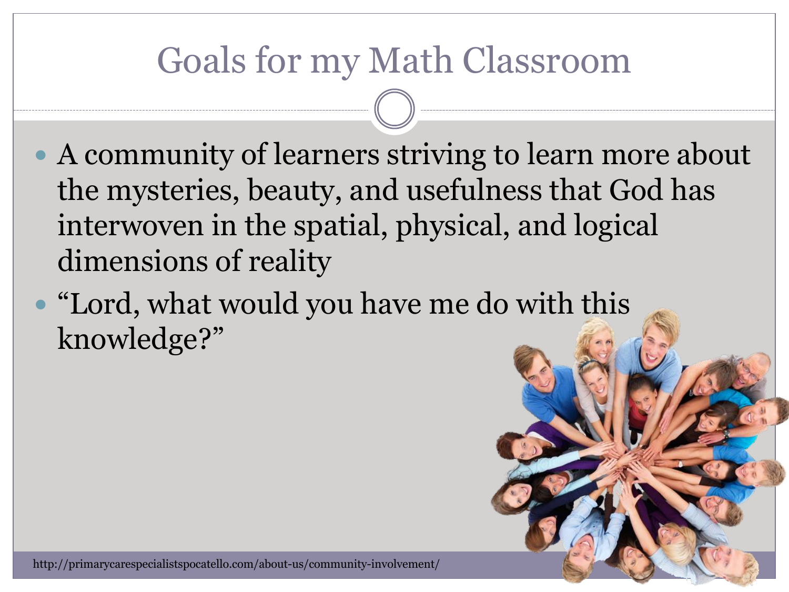#### Goals for my Math Classroom

- A community of learners striving to learn more about the mysteries, beauty, and usefulness that God has interwoven in the spatial, physical, and logical dimensions of reality
- "Lord, what would you have me do with this knowledge?"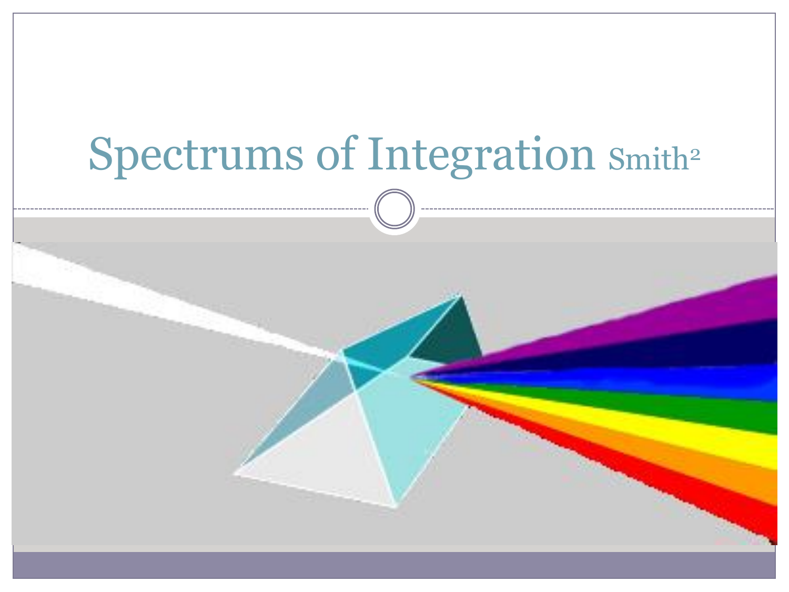# Spectrums of Integration Smith<sup>2</sup>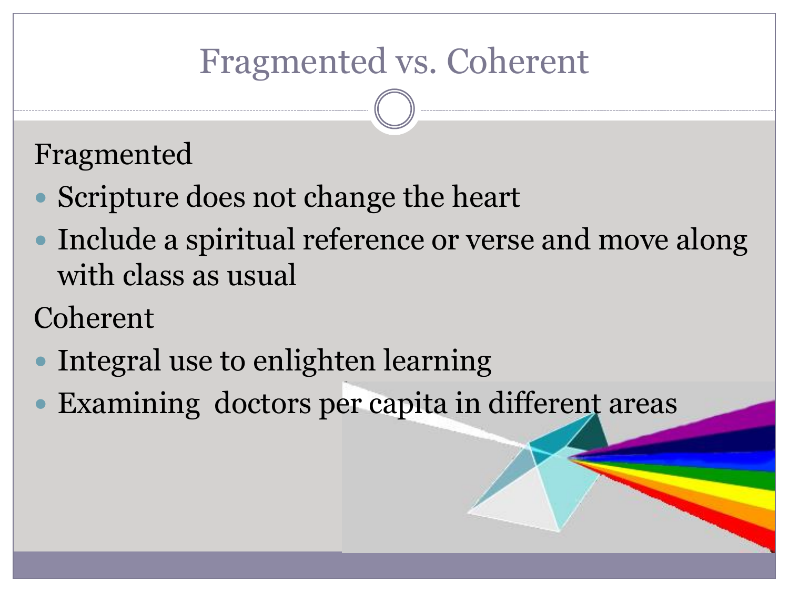#### Fragmented vs. Coherent

#### Fragmented

- Scripture does not change the heart
- Include a spiritual reference or verse and move along with class as usual

Coherent

- Integral use to enlighten learning
- Examining doctors per capita in different areas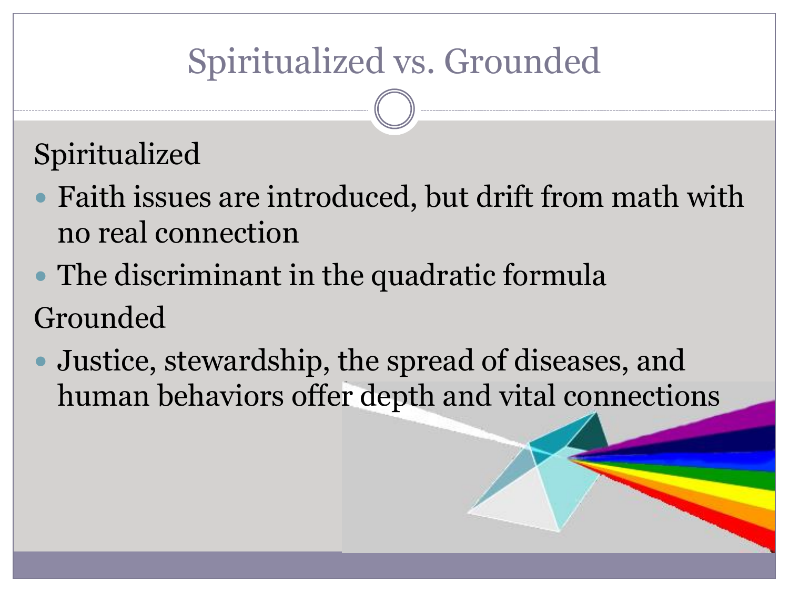### Spiritualized vs. Grounded

#### Spiritualized

- Faith issues are introduced, but drift from math with no real connection
- The discriminant in the quadratic formula Grounded
- Justice, stewardship, the spread of diseases, and human behaviors offer depth and vital connections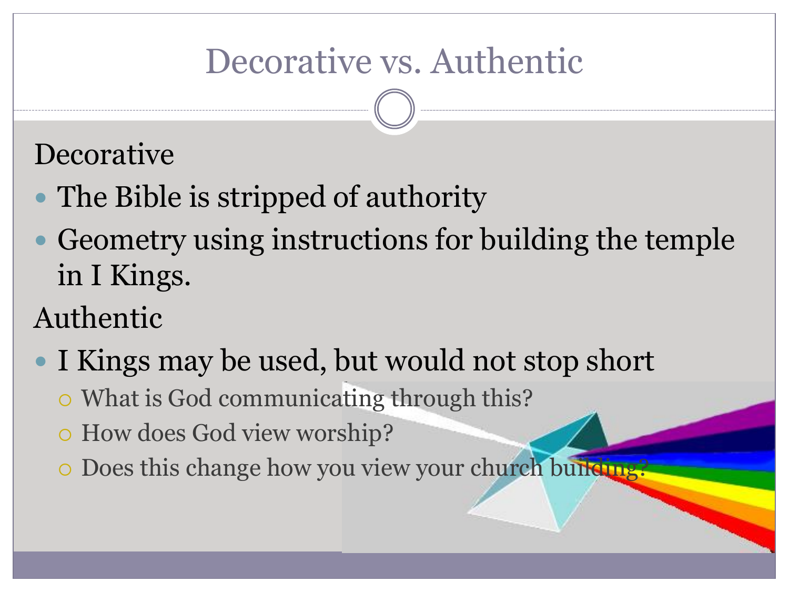#### Decorative vs. Authentic

#### **Decorative**

- The Bible is stripped of authority
- Geometry using instructions for building the temple in I Kings.

#### Authentic

- I Kings may be used, but would not stop short
	- What is God communicating through this?
	- How does God view worship?
	- o Does this change how you view your church building?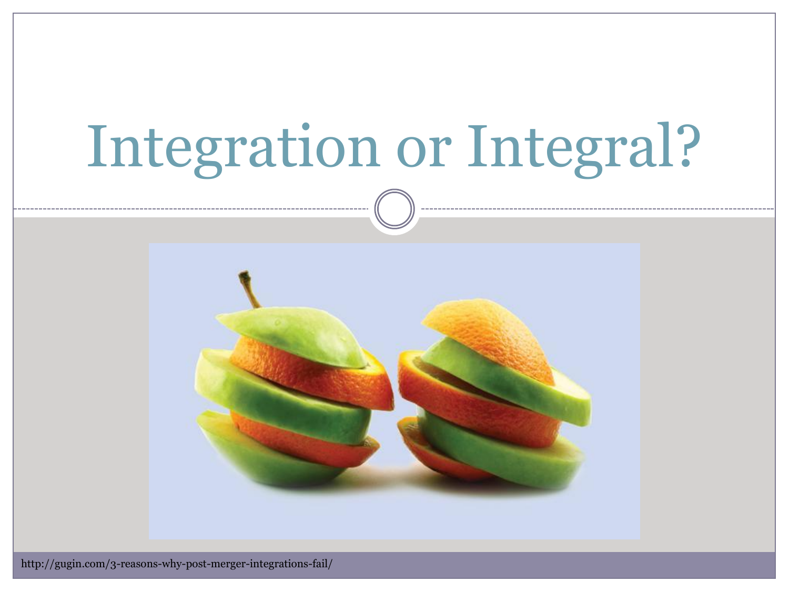# Integration or Integral?

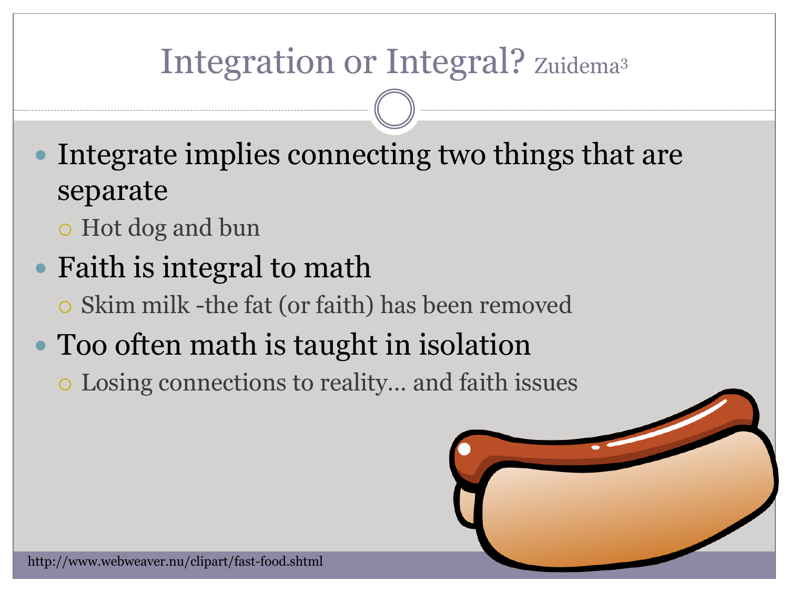#### Integration or Integral? Zuidema<sup>3</sup>

- Integrate implies connecting two things that are separate
	- Hot dog and bun
- Faith is integral to math
	- Skim milk -the fat (or faith) has been removed
- Too often math is taught in isolation
	- Losing connections to reality… and faith issues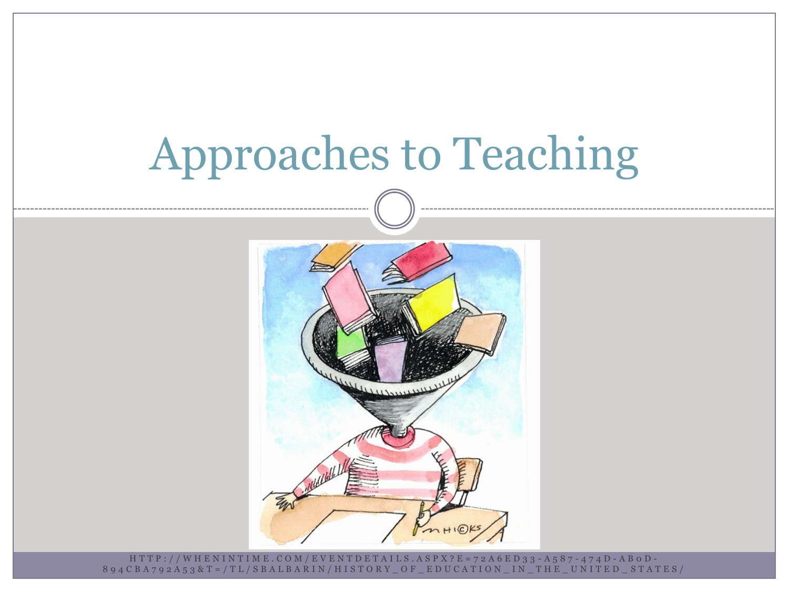## Approaches to Teaching



H T T P : / / W H E N I N T I M E . C O M / E V E N T D E T A I L S . A S P X ? E = 7 2 A 6 E D 3 3 - A 5 8 7 - 4 7 4 D - A B 0 D - 8 9 4 C B A 7 9 2 A 5 3 & T = / T L / S B A L B A R I N / H I S T O R Y \_ O F \_ E D U C A T I O N \_ I N \_ T H E \_ U N I T E D \_ S T A T E S /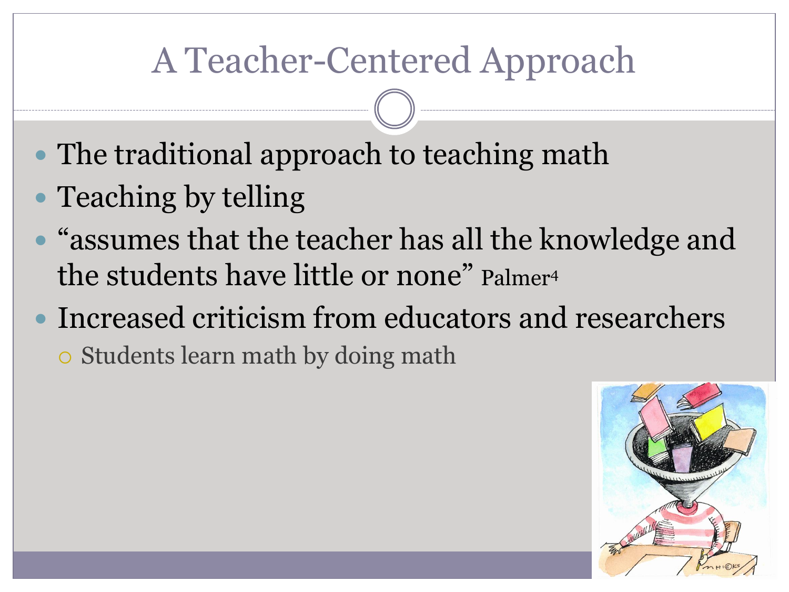### A Teacher-Centered Approach

- The traditional approach to teaching math
- Teaching by telling
- "assumes that the teacher has all the knowledge and the students have little or none" Palmer<sup>4</sup>
- Increased criticism from educators and researchers

Students learn math by doing math

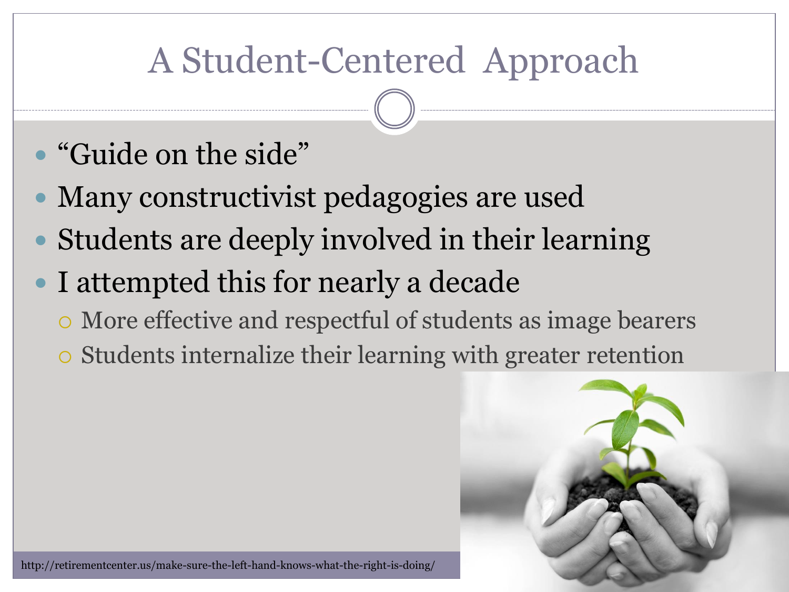### A Student-Centered Approach

- "Guide on the side"
- Many constructivist pedagogies are used
- Students are deeply involved in their learning
- I attempted this for nearly a decade
	- More effective and respectful of students as image bearers
	- Students internalize their learning with greater retention

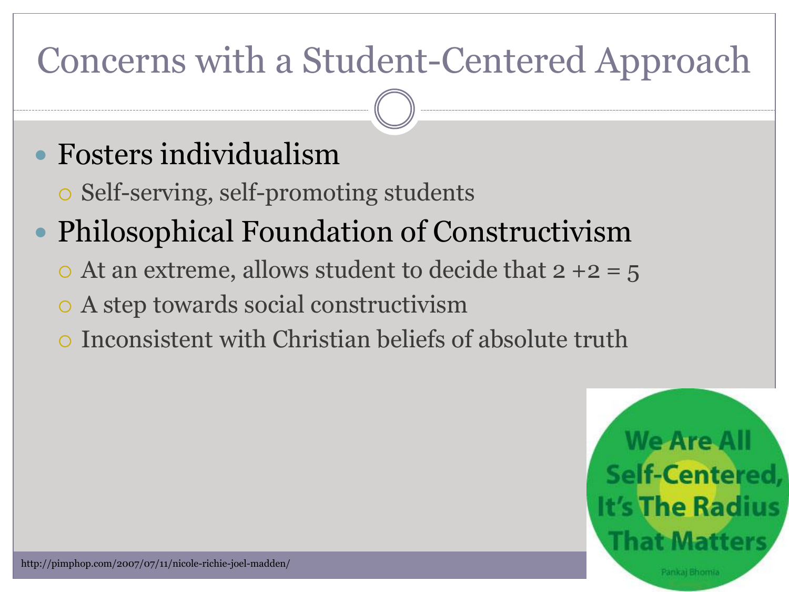### Concerns with a Student-Centered Approach

#### Fosters individualism

Self-serving, self-promoting students

#### • Philosophical Foundation of Constructivism

- $\circ$  At an extreme, allows student to decide that 2 +2 = 5
- A step towards social constructivism
- Inconsistent with Christian beliefs of absolute truth

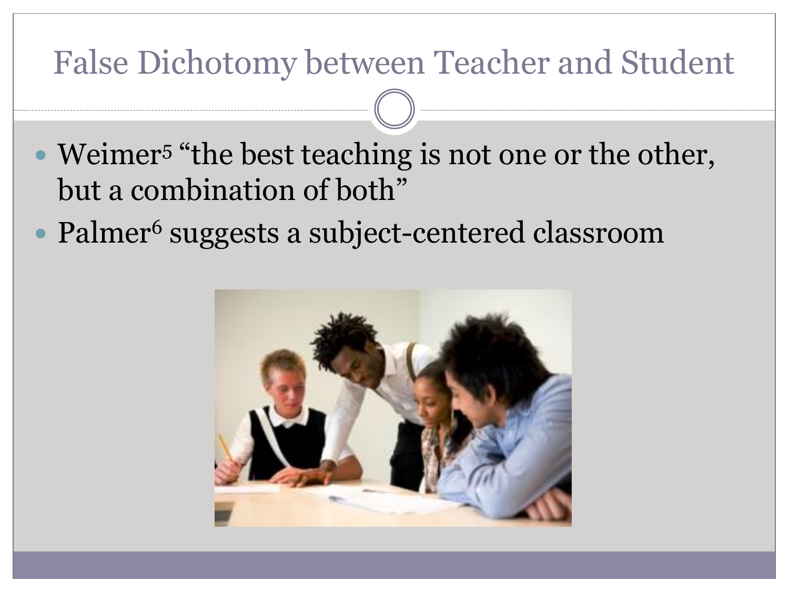#### False Dichotomy between Teacher and Student

- Weimer<sup>5</sup> "the best teaching is not one or the other, but a combination of both"
- Palmer<sup>6</sup> suggests a subject-centered classroom

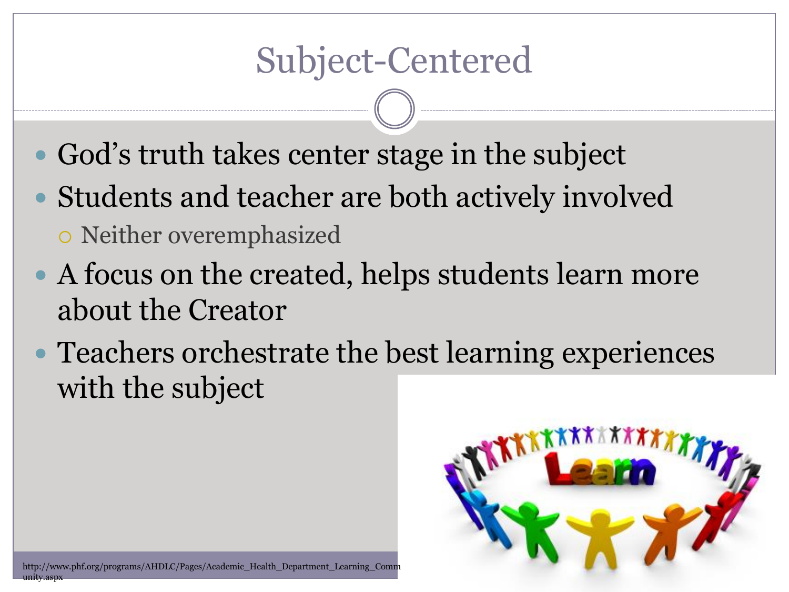#### Subject-Centered

- God's truth takes center stage in the subject
- Students and teacher are both actively involved Neither overemphasized
- A focus on the created, helps students learn more about the Creator
- Teachers orchestrate the best learning experiences with the subject

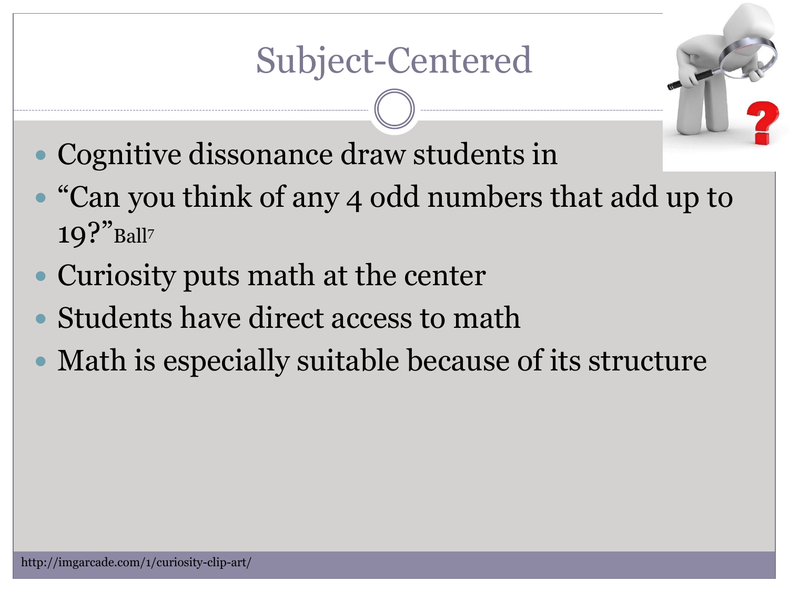### Subject-Centered

- Cognitive dissonance draw students in
- "Can you think of any 4 odd numbers that add up to  $19$ ?"Ball?
- Curiosity puts math at the center
- Students have direct access to math
- Math is especially suitable because of its structure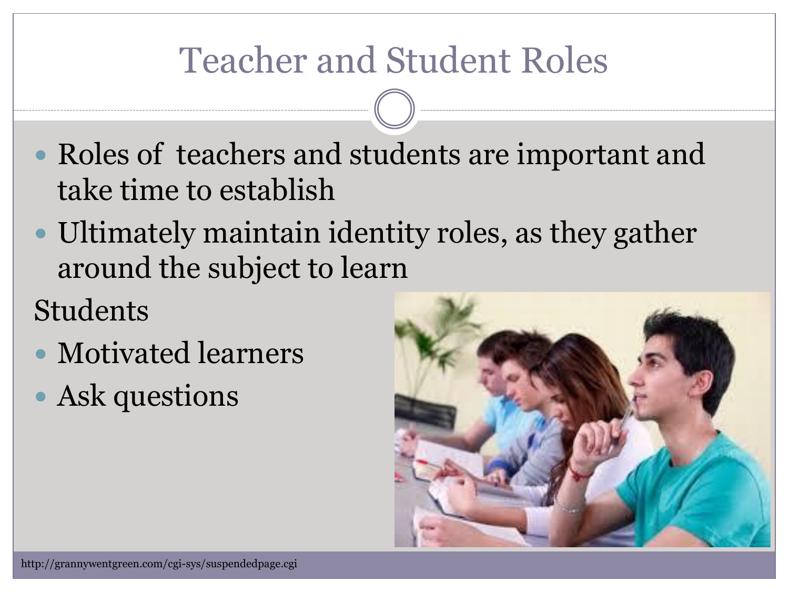### Teacher and Student Roles

- Roles of teachers and students are important and take time to establish
- Ultimately maintain identity roles, as they gather around the subject to learn

#### Students

- Motivated learners
- Ask questions

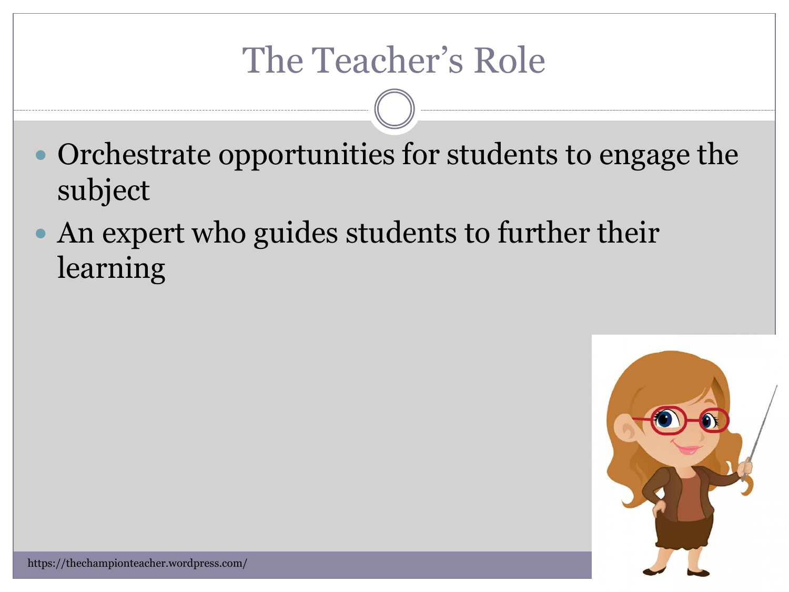#### The Teacher's Role

- Orchestrate opportunities for students to engage the subject
- An expert who guides students to further their learning

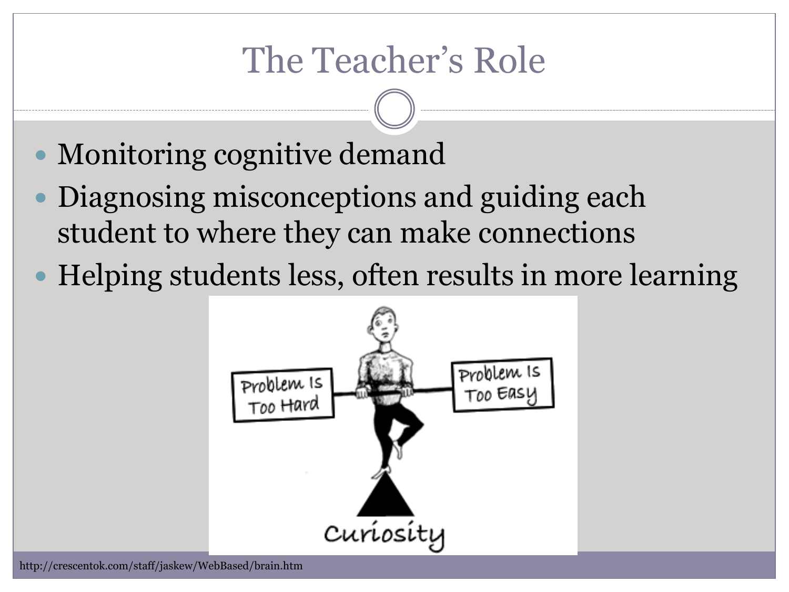#### The Teacher's Role

- Monitoring cognitive demand
- Diagnosing misconceptions and guiding each student to where they can make connections
- Helping students less, often results in more learning

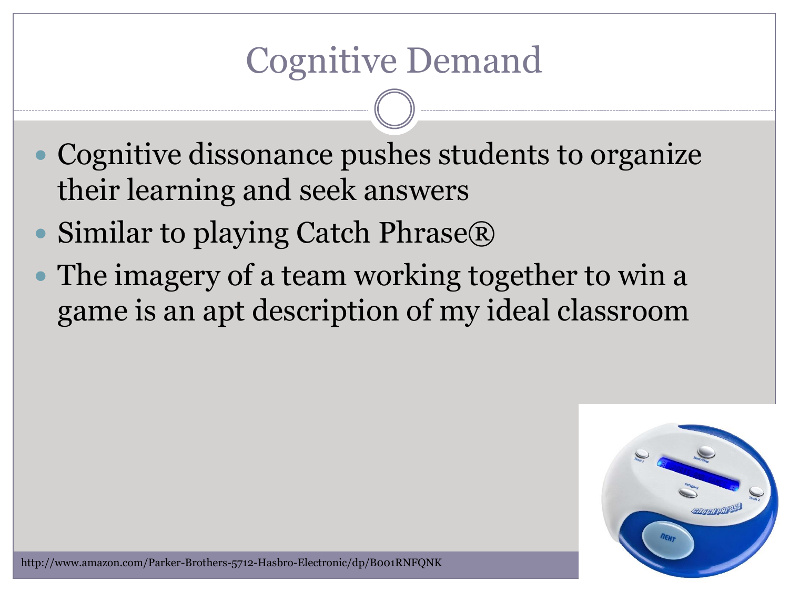#### Cognitive Demand

- Cognitive dissonance pushes students to organize their learning and seek answers
- Similar to playing Catch Phrase®
- The imagery of a team working together to win a game is an apt description of my ideal classroom

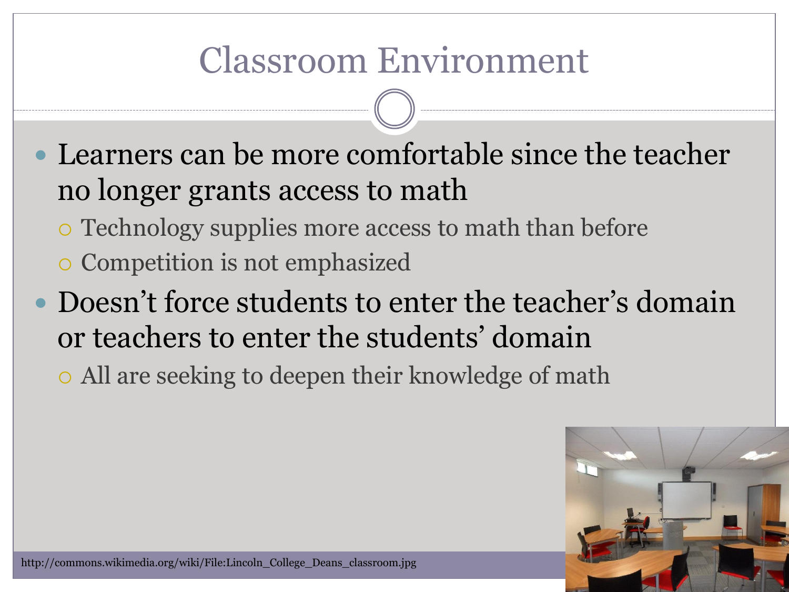### Classroom Environment

- Learners can be more comfortable since the teacher no longer grants access to math
	- Technology supplies more access to math than before
	- Competition is not emphasized
- Doesn't force students to enter the teacher's domain or teachers to enter the students' domain
	- All are seeking to deepen their knowledge of math

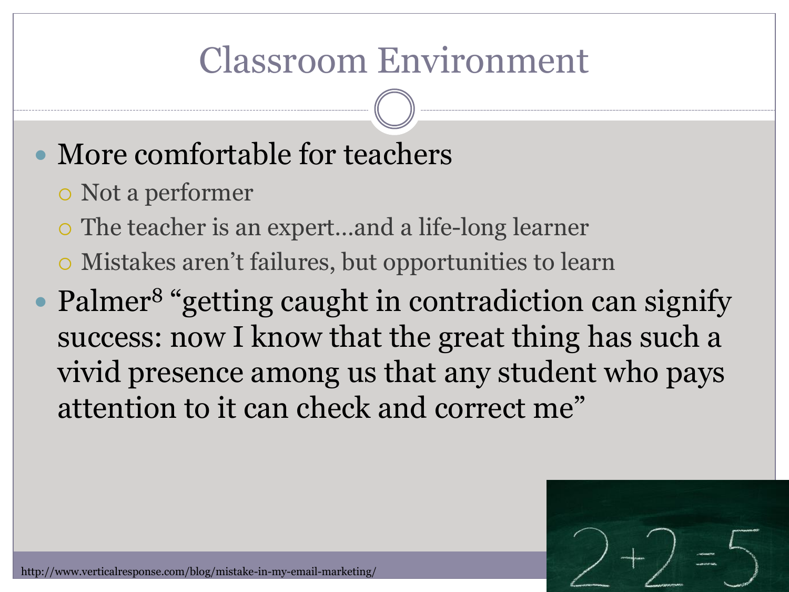### Classroom Environment

#### • More comfortable for teachers

- Not a performer
- The teacher is an expert…and a life-long learner
- Mistakes aren't failures, but opportunities to learn
- Palmer<sup>8</sup> "getting caught in contradiction can signify success: now I know that the great thing has such a vivid presence among us that any student who pays attention to it can check and correct me"

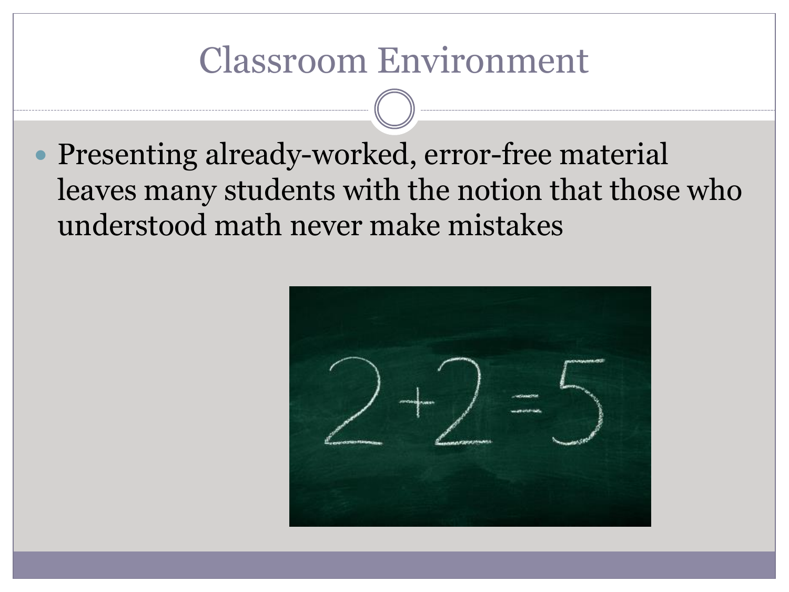#### Classroom Environment

 Presenting already-worked, error-free material leaves many students with the notion that those who understood math never make mistakes

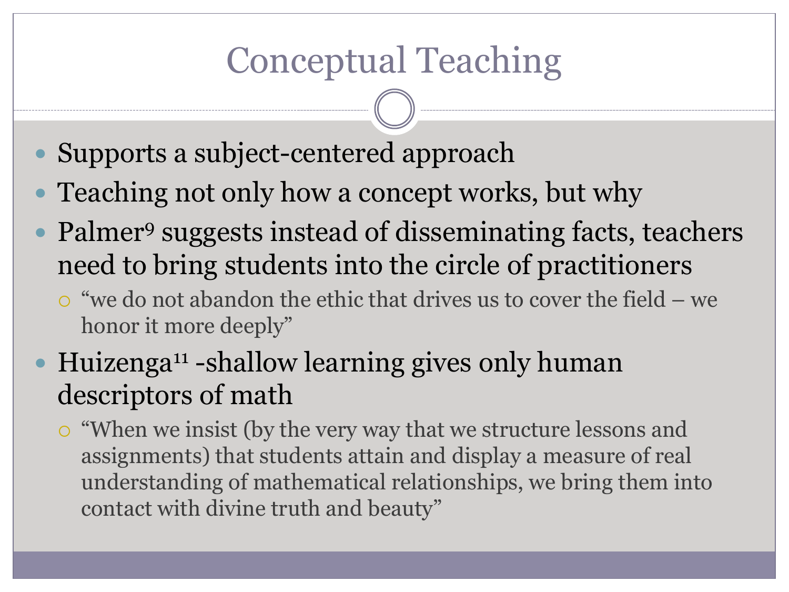### Conceptual Teaching

- Supports a subject-centered approach
- Teaching not only how a concept works, but why
- Palmer<sup>9</sup> suggests instead of disseminating facts, teachers need to bring students into the circle of practitioners
	- "we do not abandon the ethic that drives us to cover the field we honor it more deeply"
- Huizenga<sup>11</sup> -shallow learning gives only human descriptors of math
	- "When we insist (by the very way that we structure lessons and assignments) that students attain and display a measure of real understanding of mathematical relationships, we bring them into contact with divine truth and beauty"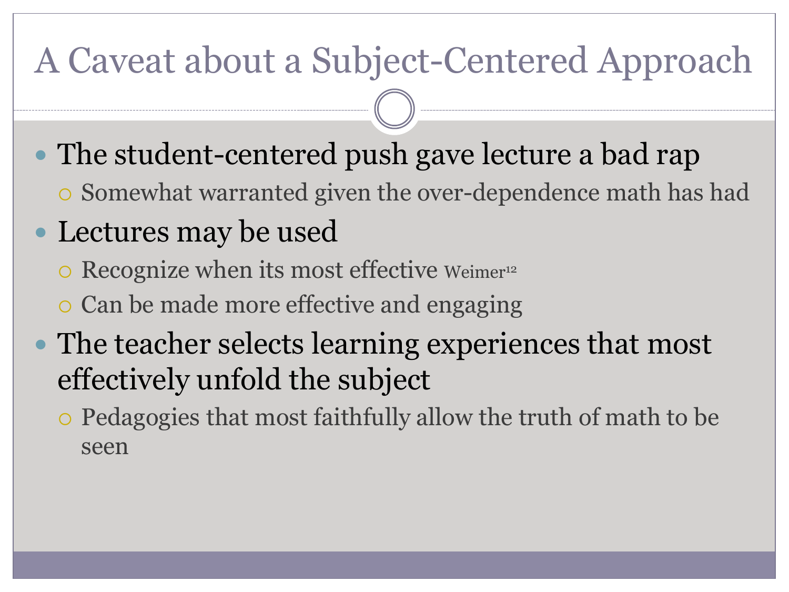#### A Caveat about a Subject-Centered Approach

- The student-centered push gave lecture a bad rap
	- Somewhat warranted given the over-dependence math has had
- Lectures may be used
	- o Recognize when its most effective Weimer<sup>12</sup>
	- Can be made more effective and engaging
- The teacher selects learning experiences that most effectively unfold the subject
	- Pedagogies that most faithfully allow the truth of math to be seen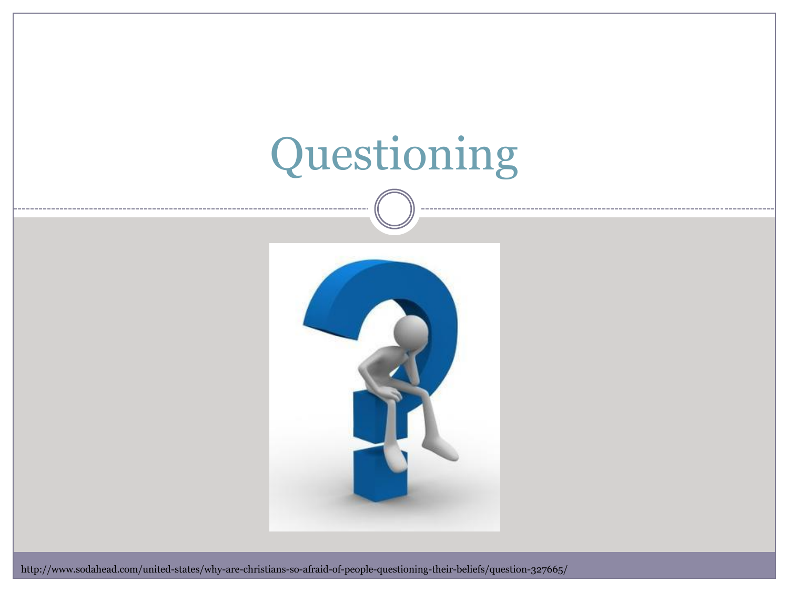# Questioning



http://www.sodahead.com/united-states/why-are-christians-so-afraid-of-people-questioning-their-beliefs/question-327665/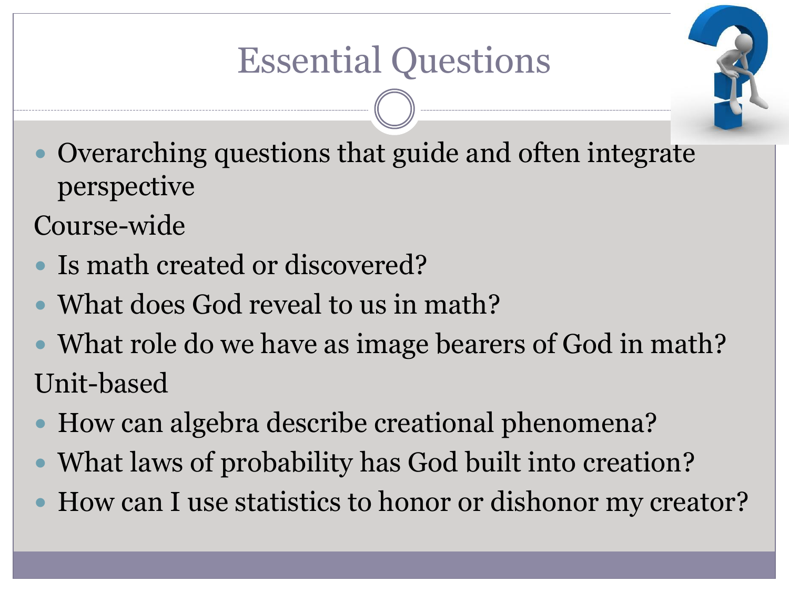

 Overarching questions that guide and often integrate perspective

Course-wide

- Is math created or discovered?
- What does God reveal to us in math?
- What role do we have as image bearers of God in math? Unit-based
- How can algebra describe creational phenomena?
- What laws of probability has God built into creation?
- How can I use statistics to honor or dishonor my creator?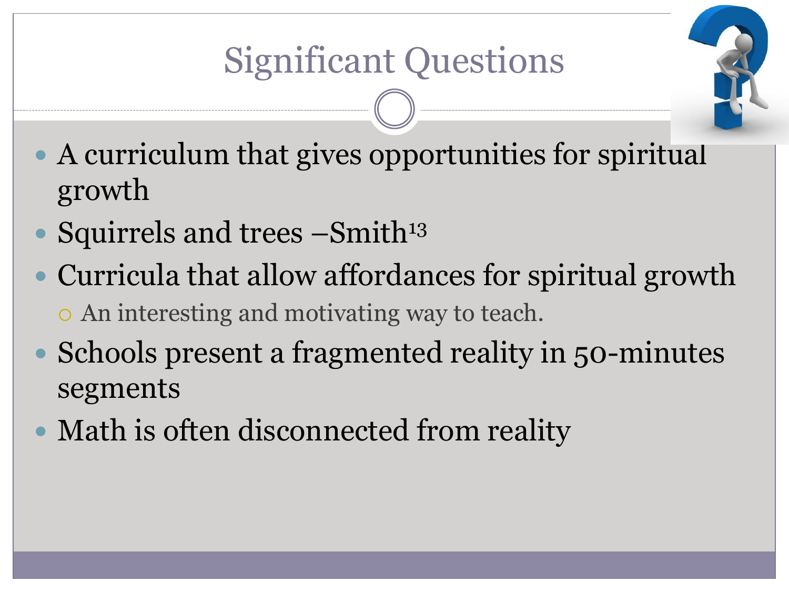

- A curriculum that gives opportunities for spiritual growth
- Squirrels and trees  $-S$ mith<sup>13</sup>
- Curricula that allow affordances for spiritual growth An interesting and motivating way to teach.
- Schools present a fragmented reality in 50-minutes segments
- Math is often disconnected from reality